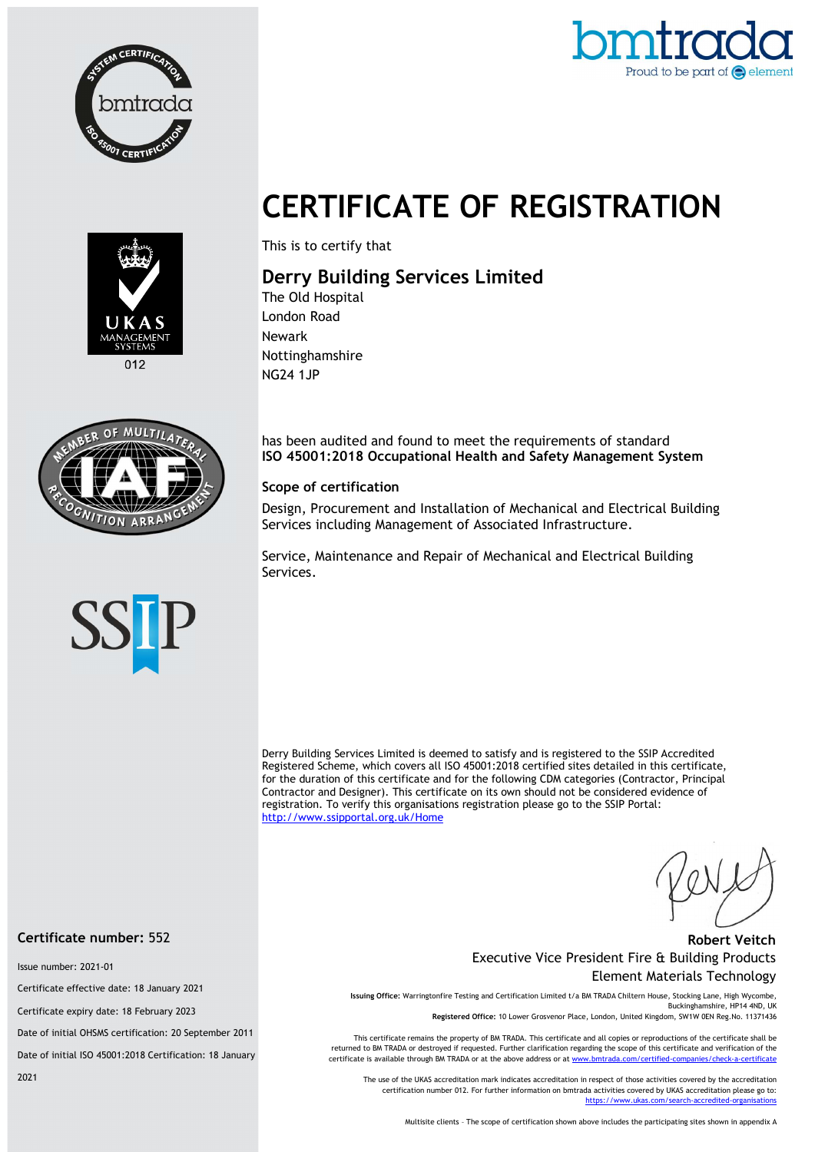



# CERTIFICATE OF REGISTRATION



This is to certify that

## Derry Building Services Limited

The Old Hospital London Road Newark Nottinghamshire NG24 1JP



has been audited and found to meet the requirements of standard ISO 45001:2018 Occupational Health and Safety Management System

#### Scope of certification

Design, Procurement and Installation of Mechanical and Electrical Building Services including Management of Associated Infrastructure.

Service, Maintenance and Repair of Mechanical and Electrical Building Services.



Derry Building Services Limited is deemed to satisfy and is registered to the SSIP Accredited Registered Scheme, which covers all ISO 45001:2018 certified sites detailed in this certificate, for the duration of this certificate and for the following CDM categories (Contractor, Principal Contractor and Designer). This certificate on its own should not be considered evidence of registration. To verify this organisations registration please go to the SSIP Portal: http://www.ssipportal.org.uk/Home

#### Robert Veitch Executive Vice President Fire & Building Products Element Materials Technology

Issuing Office: Warringtonfire Testing and Certification Limited t/a BM TRADA Chiltern House, Stocking Lane, High Wycombe, Buckinghamshire, HP14 4ND, UK Registered Office: 10 Lower Grosvenor Place, London, United Kingdom, SW1W 0EN Reg.No. 11371436

This certificate remains the property of BM TRADA. This certificate and all copies or reproductions of the certificate shall be returned to BM TRADA or destroyed if requested. Further clarification regarding the scope of this certificate and verification of the certificate is available through BM TRADA or at the above address or at www.bmtrada.com/certified-

The use of the UKAS accreditation mark indicates accreditation in respect of those activities covered by the accreditation certification number 012. For further information on bmtrada activities covered by UKAS accreditation please go to: https://www.ukas.com/search-accredited-organisations

Multisite clients – The scope of certification shown above includes the participating sites shown in appendix A

#### Certificate number: 552

Issue number: 2021-01

Certificate effective date: 18 January 2021

Certificate expiry date: 18 February 2023

Date of initial OHSMS certification: 20 September 2011

Date of initial ISO 45001:2018 Certification: 18 January

2021